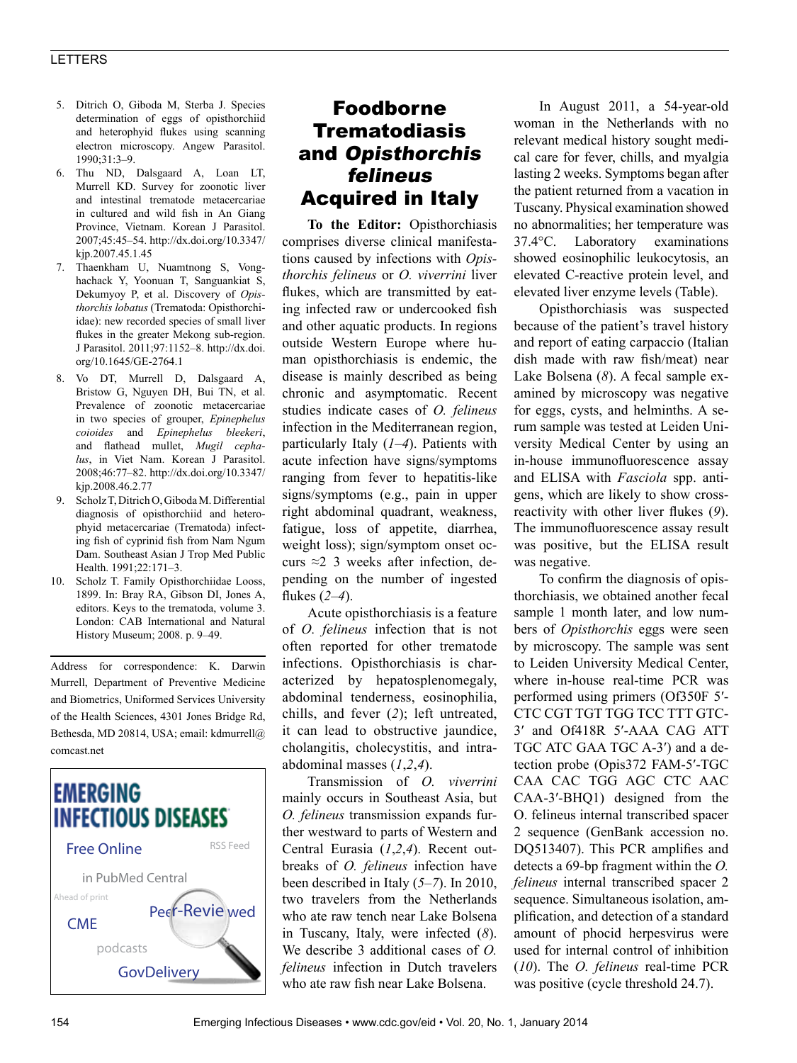## LETTERS

- 5. Ditrich O, Giboda M, Sterba J. Species determination of eggs of opisthorchiid and heterophyid flukes using scanning electron microscopy. Angew Parasitol. 1990;31:3–9.
- 6. Thu ND, Dalsgaard A, Loan LT, Murrell KD. Survey for zoonotic liver and intestinal trematode metacercariae in cultured and wild fish in An Giang Province, Vietnam. Korean J Parasitol. 2007;45:45–54. http://dx.doi.org/10.3347/ kjp.2007.45.1.45
- 7. Thaenkham U, Nuamtnong S, Vonghachack Y, Yoonuan T, Sanguankiat S, Dekumyoy P, et al. Discovery of *Opisthorchis lobatus* (Trematoda: Opisthorchiidae): new recorded species of small liver flukes in the greater Mekong sub-region. J Parasitol. 2011;97:1152–8. http://dx.doi. org/10.1645/GE-2764.1
- 8. Vo DT, Murrell D, Dalsgaard A, Bristow G, Nguyen DH, Bui TN, et al. Prevalence of zoonotic metacercariae in two species of grouper, *Epinephelus coioides* and *Epinephelus bleekeri*, and flathead mullet, *Mugil cephalus*, in Viet Nam. Korean J Parasitol. 2008;46:77–82. http://dx.doi.org/10.3347/ kjp.2008.46.2.77
- 9. Scholz T, Ditrich O, Giboda M. Differential diagnosis of opisthorchiid and heterophyid metacercariae (Trematoda) infecting fish of cyprinid fish from Nam Ngum Dam. Southeast Asian J Trop Med Public Health. 1991;22:171–3.
- 10. Scholz T. Family Opisthorchiidae Looss, 1899. In: Bray RA, Gibson DI, Jones A, editors. Keys to the trematoda, volume 3. London: CAB International and Natural History Museum; 2008. p. 9–49.

Address for correspondence: K. Darwin Murrell, Department of Preventive Medicine and Biometrics, Uniformed Services University of the Health Sciences, 4301 Jones Bridge Rd, Bethesda, MD 20814, USA; email: kdmurrell@ comcast.net



## Foodborne Trematodiasis and Opisthorchis felineus Acquired in Italy

**To the Editor:** Opisthorchiasis comprises diverse clinical manifestations caused by infections with *Opisthorchis felineus* or *O. viverrini* liver flukes, which are transmitted by eating infected raw or undercooked fish and other aquatic products. In regions outside Western Europe where human opisthorchiasis is endemic, the disease is mainly described as being chronic and asymptomatic. Recent studies indicate cases of *O. felineus* infection in the Mediterranean region, particularly Italy (*1–4*). Patients with acute infection have signs/symptoms ranging from fever to hepatitis-like signs/symptoms (e.g., pain in upper right abdominal quadrant, weakness, fatigue, loss of appetite, diarrhea, weight loss); sign/symptom onset occurs  $\approx$  2 3 weeks after infection, depending on the number of ingested flukes (*2*–*4*).

Acute opisthorchiasis is a feature of *O. felineus* infection that is not often reported for other trematode infections. Opisthorchiasis is characterized by hepatosplenomegaly, abdominal tenderness, eosinophilia, chills, and fever (*2*); left untreated, it can lead to obstructive jaundice, cholangitis, cholecystitis, and intraabdominal masses (*1*,*2*,*4*).

Transmission of *O. viverrini* mainly occurs in Southeast Asia, but *O. felineus* transmission expands further westward to parts of Western and Central Eurasia (*1*,*2*,*4*). Recent outbreaks of *O. felineus* infection have been described in Italy (*5*–*7*). In 2010, two travelers from the Netherlands who ate raw tench near Lake Bolsena in Tuscany, Italy, were infected (*8*). We describe 3 additional cases of *O. felineus* infection in Dutch travelers who ate raw fish near Lake Bolsena.

In August 2011, a 54-year-old woman in the Netherlands with no relevant medical history sought medical care for fever, chills, and myalgia lasting 2 weeks. Symptoms began after the patient returned from a vacation in Tuscany. Physical examination showed no abnormalities; her temperature was 37.4°C. Laboratory examinations showed eosinophilic leukocytosis, an elevated C-reactive protein level, and elevated liver enzyme levels (Table).

Opisthorchiasis was suspected because of the patient's travel history and report of eating carpaccio (Italian dish made with raw fish/meat) near Lake Bolsena (*8*). A fecal sample examined by microscopy was negative for eggs, cysts, and helminths. A serum sample was tested at Leiden University Medical Center by using an in-house immunofluorescence assay and ELISA with *Fasciola* spp. antigens, which are likely to show crossreactivity with other liver flukes (*9*). The immunofluorescence assay result was positive, but the ELISA result was negative.

To confirm the diagnosis of opisthorchiasis, we obtained another fecal sample 1 month later, and low numbers of *Opisthorchis* eggs were seen by microscopy. The sample was sent to Leiden University Medical Center, where in-house real-time PCR was performed using primers (Of350F 5′- CTC CGT TGT TGG TCC TTT GTC-3′ and Of418R 5′-AAA CAG ATT TGC ATC GAA TGC A-3′) and a detection probe (Opis372 FAM-5′-TGC CAA CAC TGG AGC CTC AAC CAA-3′-BHQ1) designed from the O. felineus internal transcribed spacer 2 sequence (GenBank accession no. DQ513407). This PCR amplifies and detects a 69-bp fragment within the *O. felineus* internal transcribed spacer 2 sequence. Simultaneous isolation, amplification, and detection of a standard amount of phocid herpesvirus were used for internal control of inhibition (*10*). The *O. felineus* real-time PCR was positive (cycle threshold 24.7).